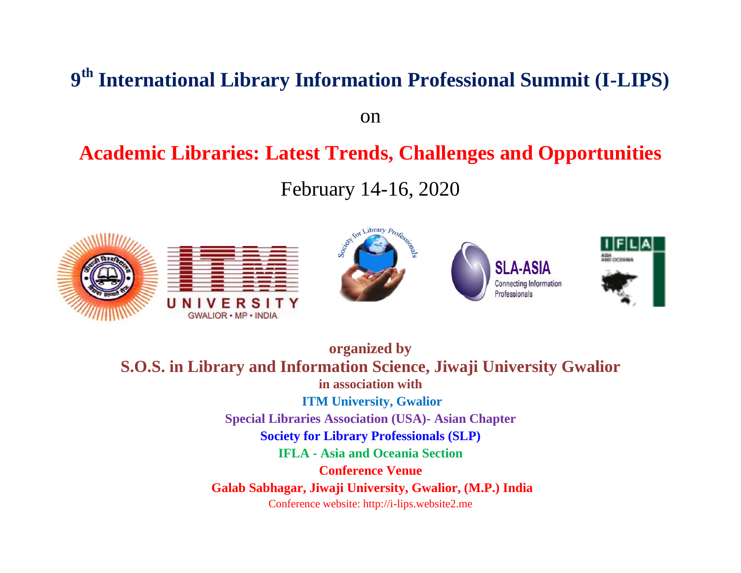# **9 th International Library Information Professional Summit (I-LIPS)**

on

## **Academic Libraries: Latest Trends, Challenges and Opportunities**

February 14-16, 2020



**organized by S.O.S. in Library and Information Science, Jiwaji University Gwalior in association with ITM University, Gwalior Special Libraries Association (USA)- Asian Chapter Society for Library Professionals (SLP) IFLA - Asia and Oceania Section Conference Venue Galab Sabhagar, Jiwaji University, Gwalior, (M.P.) India** Conference website: http://i-lips.website2.me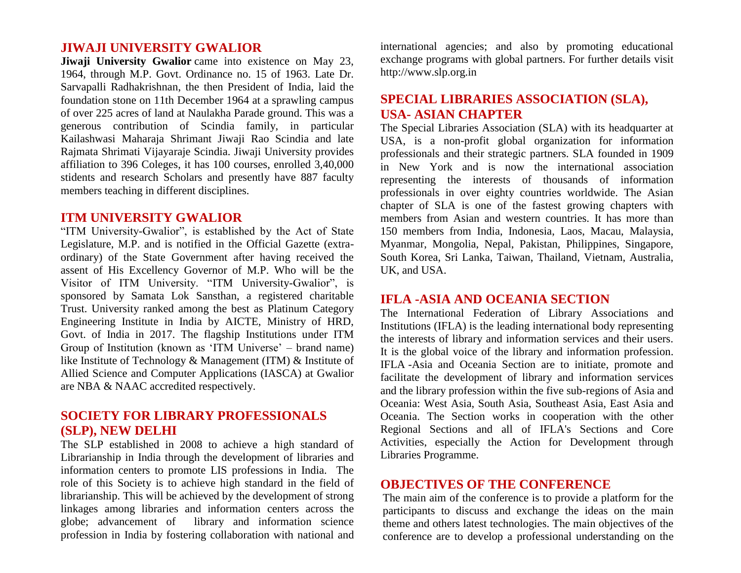#### **JIWAJI UNIVERSITY GWALIOR**

**Jiwaji University Gwalior** came into existence on May 23, 1964, through M.P. Govt. Ordinance no. 15 of 1963. Late Dr. Sarvapalli Radhakrishnan, the then President of India, laid the foundation stone on 11th December 1964 at a sprawling campus of over 225 acres of land at Naulakha Parade ground. This was a generous contribution of Scindia family, in particular Kailashwasi Maharaja Shrimant Jiwaji Rao Scindia and late Rajmata Shrimati Vijayaraje Scindia. Jiwaji University provides affiliation to 396 Coleges, it has 100 courses, enrolled 3,40,000 stidents and research Scholars and presently have 887 faculty members teaching in different disciplines.

#### **ITM UNIVERSITY GWALIOR**

"ITM University-Gwalior", is established by the Act of State Legislature, M.P. and is notified in the Official Gazette (extraordinary) of the State Government after having received the assent of His Excellency Governor of M.P. Who will be the Visitor of ITM University. "ITM University-Gwalior", is sponsored by Samata Lok Sansthan, a registered charitable Trust. University ranked among the best as Platinum Category Engineering Institute in India by AICTE, Ministry of HRD, Govt. of India in 2017. The flagship Institutions under ITM Group of Institution (known as 'ITM Universe' – brand name) like Institute of Technology & Management (ITM) & Institute of Allied Science and Computer Applications (IASCA) at Gwalior are NBA & NAAC accredited respectively.

## **SOCIETY FOR LIBRARY PROFESSIONALS (SLP), NEW DELHI**

The SLP established in 2008 to achieve a high standard of Librarianship in India through the development of libraries and information centers to promote LIS professions in India. The role of this Society is to achieve high standard in the field of librarianship. This will be achieved by the development of strong linkages among libraries and information centers across the globe; advancement of library and information science profession in India by fostering collaboration with national and international agencies; and also by promoting educational exchange programs with global partners. For further details visit [http://www.slp.org.in](http://www.slp.org.in/)

## **SPECIAL LIBRARIES ASSOCIATION (SLA), USA- ASIAN CHAPTER**

The Special Libraries Association (SLA) with its headquarter at USA, is a non-profit global organization for information professionals and their strategic partners. SLA founded in 1909 in New York and is now the international association representing the interests of thousands of information professionals in over eighty countries worldwide. The Asian chapter of SLA is one of the fastest growing chapters with members from Asian and western countries. It has more than 150 members from India, Indonesia, Laos, Macau, Malaysia, Myanmar, Mongolia, Nepal, Pakistan, Philippines, Singapore, South Korea, Sri Lanka, Taiwan, Thailand, Vietnam, Australia, UK, and USA.

#### **IFLA -ASIA AND OCEANIA SECTION**

The International Federation of Library Associations and Institutions (IFLA) is the leading international body representing the interests of library and information services and their users. It is the global voice of the library and information profession. IFLA -Asia and Oceania Section are to initiate, promote and facilitate the development of library and information services and the library profession within the five sub-regions of Asia and Oceania: West Asia, South Asia, Southeast Asia, East Asia and Oceania. The Section works in cooperation with the other Regional Sections and all of IFLA's Sections and Core Activities, especially the Action for Development through Libraries Programme.

#### **OBJECTIVES OF THE CONFERENCE**

The main aim of the conference is to provide a platform for the participants to discuss and exchange the ideas on the main theme and others latest technologies. The main objectives of the conference are to develop a professional understanding on the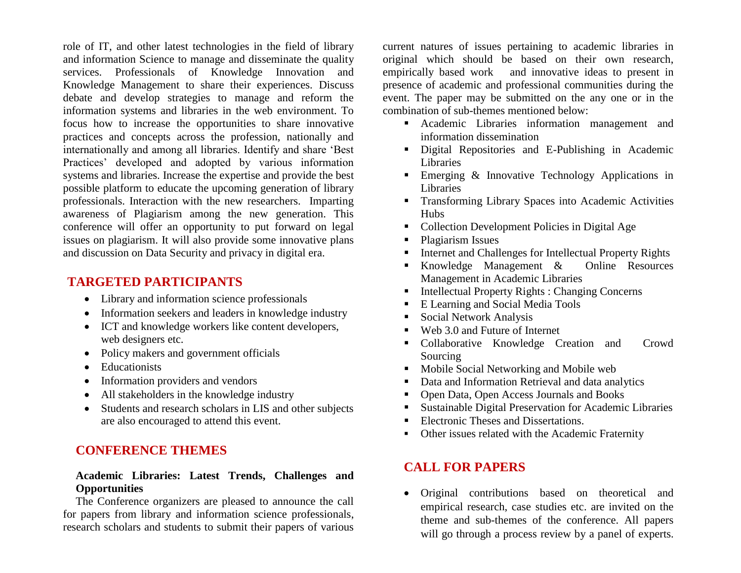role of IT, and other latest technologies in the field of library and information Science to manage and disseminate the quality services. Professionals of Knowledge Innovation and Knowledge Management to share their experiences. Discuss debate and develop strategies to manage and reform the information systems and libraries in the web environment. To focus how to increase the opportunities to share innovative practices and concepts across the profession, nationally and internationally and among all libraries. Identify and share "Best Practices" developed and adopted by various information systems and libraries. Increase the expertise and provide the best possible platform to educate the upcoming generation of library professionals. Interaction with the new researchers. Imparting awareness of Plagiarism among the new generation. This conference will offer an opportunity to put forward on legal issues on plagiarism. It will also provide some innovative plans and discussion on Data Security and privacy in digital era.

## **TARGETED PARTICIPANTS**

- Library and information science professionals
- Information seekers and leaders in knowledge industry
- ICT and knowledge workers like content developers, web designers etc.
- Policy makers and government officials
- Educationists
- Information providers and vendors
- All stakeholders in the knowledge industry
- Students and research scholars in LIS and other subjects are also encouraged to attend this event.

## **CONFERENCE THEMES**

#### **Academic Libraries: Latest Trends, Challenges and Opportunities**

The Conference organizers are pleased to announce the call for papers from library and information science professionals, research scholars and students to submit their papers of various

current natures of issues pertaining to academic libraries in original which should be based on their own research, empirically based work and innovative ideas to present in presence of academic and professional communities during the event. The paper may be submitted on the any one or in the combination of sub-themes mentioned below:

- Academic Libraries information management and information dissemination
- Digital Repositories and E-Publishing in Academic Libraries
- **Emerging & Innovative Technology Applications in** Libraries
- **Transforming Library Spaces into Academic Activities Hubs**
- Collection Development Policies in Digital Age
- Plagiarism Issues
- Internet and Challenges for Intellectual Property Rights
- Knowledge Management & Online Resources Management in Academic Libraries
- Intellectual Property Rights : Changing Concerns
- E Learning and Social Media Tools
- Social Network Analysis
- Web 3.0 and Future of Internet
- Collaborative Knowledge Creation and Crowd Sourcing
- **Mobile Social Networking and Mobile web**
- Data and Information Retrieval and data analytics
- Open Data, Open Access Journals and Books
- Sustainable Digital Preservation for Academic Libraries
- Electronic Theses and Dissertations.
- Other issues related with the Academic Fraternity

## **CALL FOR PAPERS**

 Original contributions based on theoretical and empirical research, case studies etc. are invited on the theme and sub-themes of the conference. All papers will go through a process review by a panel of experts.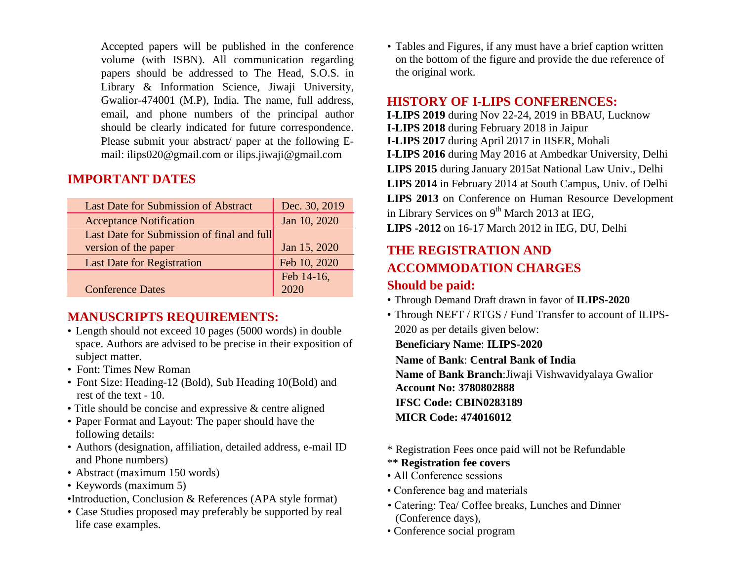Accepted papers will be published in the conference volume (with ISBN). All communication regarding papers should be addressed to The Head, S.O.S. in Library & Information Science, Jiwaji University, Gwalior-474001 (M.P), India. The name, full address, email, and phone numbers of the principal author should be clearly indicated for future correspondence. Please submit your abstract/ paper at the following Email: ilips020@gmail.com or [ilips.jiwaji@gmail.com](mailto:ilips.jiwaji@gmail.com)

## **IMPORTANT DATES**

| <b>Last Date for Submission of Abstract</b> | Dec. 30, 2019 |
|---------------------------------------------|---------------|
| <b>Acceptance Notification</b>              | Jan 10, 2020  |
| Last Date for Submission of final and full  |               |
| version of the paper                        | Jan 15, 2020  |
| <b>Last Date for Registration</b>           | Feb 10, 2020  |
|                                             | Feb 14-16,    |
| <b>Conference Dates</b>                     |               |

## **MANUSCRIPTS REQUIREMENTS:**

- Length should not exceed 10 pages (5000 words) in double space. Authors are advised to be precise in their exposition of subject matter.
- Font: Times New Roman
- Font Size: Heading-12 (Bold), Sub Heading 10(Bold) and rest of the text - 10.
- Title should be concise and expressive & centre aligned
- Paper Format and Layout: The paper should have the following details:
- Authors (designation, affiliation, detailed address, e-mail ID and Phone numbers)
- Abstract (maximum 150 words)
- Keywords (maximum 5)
- •Introduction, Conclusion & References (APA style format)
- Case Studies proposed may preferably be supported by real life case examples.

• Tables and Figures, if any must have a brief caption written on the bottom of the figure and provide the due reference of the original work.

### **HISTORY OF I-LIPS CONFERENCES:**

**I-LIPS 2019** during Nov 22-24, 2019 in BBAU, Lucknow **I-LIPS 2018** during February 2018 in Jaipur **I-LIPS 2017** during April 2017 in IISER, Mohali **I-LIPS 2016** during May 2016 at Ambedkar University, Delhi **LIPS 2015** during January 2015at National Law Univ., Delhi **LIPS 2014** in February 2014 at South Campus, Univ. of Delhi **LIPS 2013** on Conference on Human Resource Development in Library Services on 9<sup>th</sup> March 2013 at IEG, **LIPS -2012** on 16-17 March 2012 in IEG, DU, Delhi

## **THE REGISTRATION AND ACCOMMODATION CHARGES**

## **Should be paid:**

- Through Demand Draft drawn in favor of **ILIPS-2020**
- Through NEFT / RTGS / Fund Transfer to account of ILIPS-2020 as per details given below:

**Beneficiary Name**: **ILIPS-2020** 

**Name of Bank**: **Central Bank of India**

**Name of Bank Branch**:Jiwaji Vishwavidyalaya Gwalior **Account No: 3780802888 IFSC Code: CBIN0283189 MICR Code: 474016012**

- \* Registration Fees once paid will not be Refundable
- \*\* **Registration fee covers**
- All Conference sessions
- Conference bag and materials
- Catering: Tea/ Coffee breaks, Lunches and Dinner (Conference days),
- Conference social program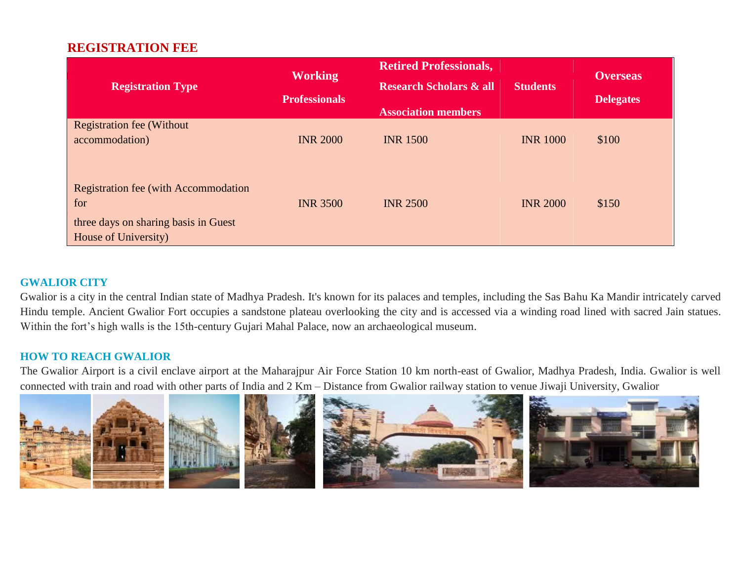## **REGISTRATION FEE**

| <b>Registration Type</b>                                                                                            | <b>Working</b><br><b>Professionals</b> | <b>Retired Professionals,</b><br><b>Research Scholars &amp; all</b><br><b>Association members</b> | <b>Students</b> | <b>Overseas</b><br><b>Delegates</b> |
|---------------------------------------------------------------------------------------------------------------------|----------------------------------------|---------------------------------------------------------------------------------------------------|-----------------|-------------------------------------|
| <b>Registration fee (Without)</b><br>accommodation)                                                                 | <b>INR 2000</b>                        | <b>INR 1500</b>                                                                                   | <b>INR 1000</b> | \$100                               |
| <b>Registration fee (with Accommodation)</b><br>for<br>three days on sharing basis in Guest<br>House of University) | <b>INR 3500</b>                        | <b>INR 2500</b>                                                                                   | <b>INR 2000</b> | \$150                               |

#### **GWALIOR CITY**

Gwalior is a city in the central Indian state of Madhya Pradesh. It's known for its palaces and temples, including the Sas Bahu Ka Mandir intricately carved Hindu temple. Ancient Gwalior Fort occupies a sandstone plateau overlooking the city and is accessed via a winding road lined with sacred Jain statues. Within the fort's high walls is the 15th-century Gujari Mahal Palace, now an archaeological museum.

#### **HOW TO REACH GWALIOR**

The Gwalior Airport is a civil enclave airport at the Maharajpur Air Force Station 10 km north-east of Gwalior, Madhya Pradesh, India. Gwalior is well connected with train and road with other parts of India and 2 Km – Distance from Gwalior railway station to venue Jiwaji University, Gwalior

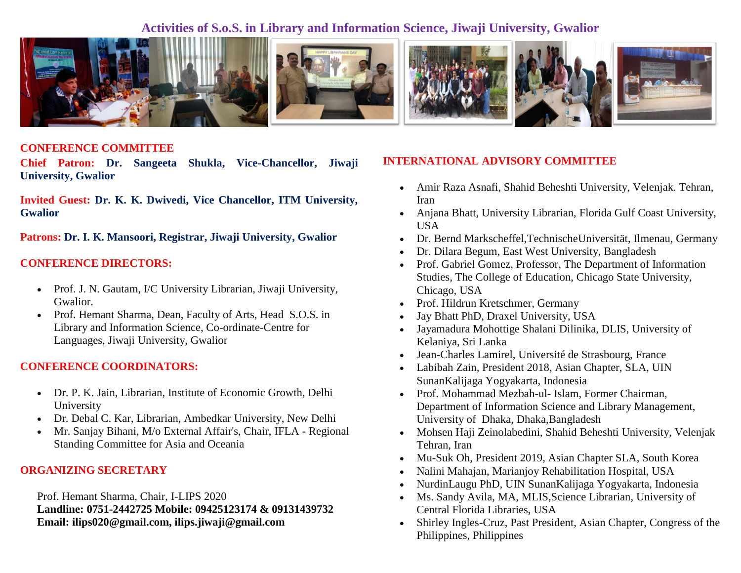## **Activities of S.o.S. in Library and Information Science, Jiwaji University, Gwalior**



#### **CONFERENCE COMMITTEE**

**Chief Patron: Dr. Sangeeta Shukla, Vice-Chancellor, Jiwaji University, Gwalior**

**Invited Guest: Dr. K. K. Dwivedi, Vice Chancellor, ITM University, Gwalior**

**Patrons: Dr. I. K. Mansoori, Registrar, Jiwaji University, Gwalior**

#### **CONFERENCE DIRECTORS:**

- Prof. J. N. Gautam, I/C University Librarian, Jiwaji University, Gwalior.
- Prof. Hemant Sharma, Dean, Faculty of Arts, Head S.O.S. in Library and Information Science, Co-ordinate-Centre for Languages, Jiwaji University, Gwalior

#### **CONFERENCE COORDINATORS:**

- Dr. P. K. Jain, Librarian, Institute of Economic Growth, Delhi University
- Dr. Debal C. Kar, Librarian, Ambedkar University, New Delhi
- Mr. Sanjay Bihani, M/o External Affair's, Chair, IFLA Regional Standing Committee for Asia and Oceania

#### **ORGANIZING SECRETARY**

Prof. Hemant Sharma, Chair, I-LIPS 2020 **Landline: 0751-2442725 Mobile: 09425123174 & 09131439732 Email: ilips020@gmail.com, ilips.jiwaji@gmail.com**

#### **INTERNATIONAL ADVISORY COMMITTEE**

- Amir Raza Asnafi, Shahid Beheshti University, Velenjak. Tehran, Iran
- Anjana Bhatt, University Librarian, Florida Gulf Coast University, USA
- Dr. Bernd Markscheffel,TechnischeUniversität, Ilmenau, Germany
- Dr. Dilara Begum, East West University, Bangladesh
- Prof. Gabriel Gomez, Professor, The Department of Information Studies, The College of Education, Chicago State University, Chicago, USA
- Prof. Hildrun Kretschmer, Germany
- Jay Bhatt PhD, Draxel University, USA
- Jayamadura Mohottige Shalani Dilinika, DLIS, University of Kelaniya, Sri Lanka
- Jean-Charles Lamirel, Université de Strasbourg, France
- Labibah Zain, President 2018, Asian Chapter, SLA, UIN SunanKalijaga Yogyakarta, Indonesia
- Prof. Mohammad Mezbah-ul- Islam, Former Chairman, Department of Information Science and Library Management, University of Dhaka, Dhaka, Bangladesh
- Mohsen Haji Zeinolabedini, Shahid Beheshti University, Velenjak Tehran, Iran
- Mu-Suk Oh, President 2019, Asian Chapter SLA, South Korea
- Nalini Mahajan, Marianjoy Rehabilitation Hospital, USA
- NurdinLaugu PhD, UIN SunanKalijaga Yogyakarta, Indonesia
- Ms. Sandy Avila, MA, MLIS,Science Librarian, University of Central Florida Libraries, USA
- Shirley Ingles-Cruz, Past President, Asian Chapter, Congress of the Philippines, Philippines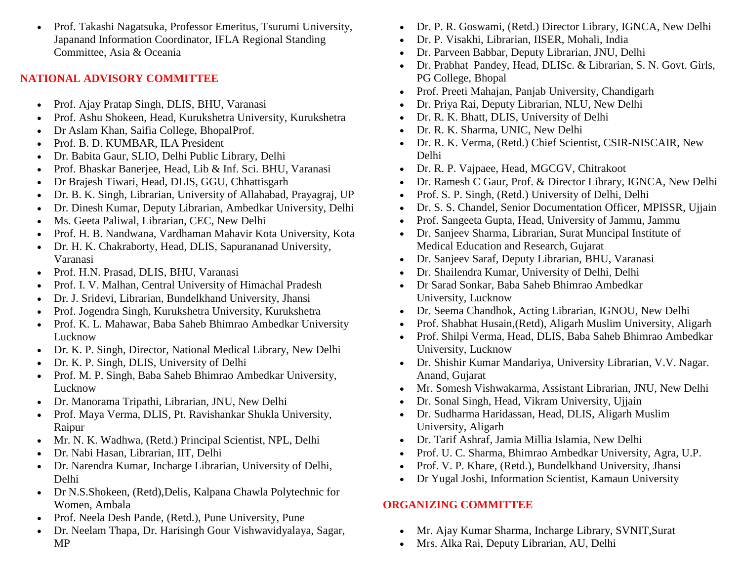Prof. Takashi Nagatsuka, Professor Emeritus, Tsurumi University, Japanand Information Coordinator, IFLA Regional Standing Committee, Asia & Oceania

### **NATIONAL ADVISORY COMMITTEE**

- Prof. Ajay Pratap Singh, DLIS, BHU, Varanasi
- Prof. Ashu Shokeen, Head, Kurukshetra University, Kurukshetra
- Dr Aslam Khan, Saifia College, BhopalProf.
- Prof. B. D. KUMBAR, ILA President
- Dr. Babita Gaur, SLIO, Delhi Public Library, Delhi
- Prof. Bhaskar Banerjee, Head, Lib & Inf. Sci. BHU, Varanasi
- Dr Brajesh Tiwari, Head, DLIS, GGU, Chhattisgarh
- Dr. B. K. Singh, Librarian, University of Allahabad, Prayagraj, UP
- Dr. Dinesh Kumar, Deputy Librarian, Ambedkar University, Delhi
- Ms. Geeta Paliwal, Librarian, CEC, New Delhi
- Prof. H. B. Nandwana, Vardhaman Mahavir Kota University, Kota
- Dr. H. K. Chakraborty, Head, DLIS, Sapurananad University, Varanasi
- Prof. H.N. Prasad, DLIS, BHU, Varanasi
- Prof. I. V. Malhan, Central University of Himachal Pradesh
- Dr. J. Sridevi, Librarian, Bundelkhand University, Jhansi
- Prof. Jogendra Singh, Kurukshetra University, Kurukshetra
- Prof. K. L. Mahawar, Baba Saheb Bhimrao Ambedkar University Lucknow
- Dr. K. P. Singh, Director, National Medical Library, New Delhi
- Dr. K. P. Singh, DLIS, University of Delhi
- Prof. M. P. Singh, Baba Saheb Bhimrao Ambedkar University, Lucknow
- Dr. Manorama Tripathi, Librarian, JNU, New Delhi
- Prof. Maya Verma, DLIS, Pt. Ravishankar Shukla University, Raipur
- Mr. N. K. Wadhwa, (Retd.) Principal Scientist, NPL, Delhi
- Dr. Nabi Hasan, Librarian, IIT, Delhi
- Dr. Narendra Kumar, Incharge Librarian, University of Delhi, Delhi
- Dr N.S.Shokeen, (Retd),Delis, Kalpana Chawla Polytechnic for Women, Ambala
- Prof. Neela Desh Pande, (Retd.), Pune University, Pune
- Dr. Neelam Thapa, Dr. Harisingh Gour Vishwavidyalaya, Sagar, MP
- Dr. P. R. Goswami, (Retd.) Director Library, IGNCA, New Delhi
- Dr. P. Visakhi, Librarian, IISER, Mohali, India
- Dr. Parveen Babbar, Deputy Librarian, JNU, Delhi
- Dr. Prabhat Pandey, Head, DLISc. & Librarian, S. N. Govt. Girls, PG College, Bhopal
- Prof. Preeti Mahajan, Panjab University, Chandigarh
- Dr. Priya Rai, Deputy Librarian, NLU, New Delhi
- Dr. R. K. Bhatt, DLIS, University of Delhi
- Dr. R. K. Sharma, UNIC, New Delhi
- Dr. R. K. Verma, (Retd.) Chief Scientist, CSIR-NISCAIR, New Delhi
- Dr. R. P. Vajpaee, Head, MGCGV, Chitrakoot
- Dr. Ramesh C Gaur, Prof. & Director Library, IGNCA, New Delhi
- Prof. S. P. Singh, (Retd.) University of Delhi, Delhi
- Dr. S. S. Chandel, Senior Documentation Officer, MPISSR, Ujjain
- Prof. Sangeeta Gupta, Head, University of Jammu, Jammu
- Dr. Sanjeev Sharma, Librarian, Surat Muncipal Institute of Medical Education and Research, Gujarat
- Dr. Sanjeev Saraf, Deputy Librarian, BHU, Varanasi
- Dr. Shailendra Kumar, University of Delhi, Delhi
- Dr Sarad Sonkar, Baba Saheb Bhimrao Ambedkar University, Lucknow
- Dr. Seema Chandhok, Acting Librarian, IGNOU, New Delhi
- Prof. Shabhat Husain,(Retd), Aligarh Muslim University, Aligarh
- Prof. Shilpi Verma, Head, DLIS, Baba Saheb Bhimrao Ambedkar University, Lucknow
- Dr. Shishir Kumar Mandariya, University Librarian, V.V. Nagar. Anand, Gujarat
- Mr. Somesh Vishwakarma, Assistant Librarian, JNU, New Delhi
- Dr. Sonal Singh, Head, Vikram University, Ujjain
- Dr. Sudharma Haridassan, Head, DLIS, Aligarh Muslim University, Aligarh
- Dr. Tarif Ashraf, Jamia Millia Islamia, New Delhi
- Prof. U. C. Sharma, Bhimrao Ambedkar University, Agra, U.P.
- Prof. V. P. Khare, (Retd.), Bundelkhand University, Jhansi
- Dr Yugal Joshi, Information Scientist, Kamaun University

## **ORGANIZING COMMITTEE**

- Mr. Ajay Kumar Sharma, Incharge Library, SVNIT,Surat
- Mrs. Alka Rai, Deputy Librarian, AU, Delhi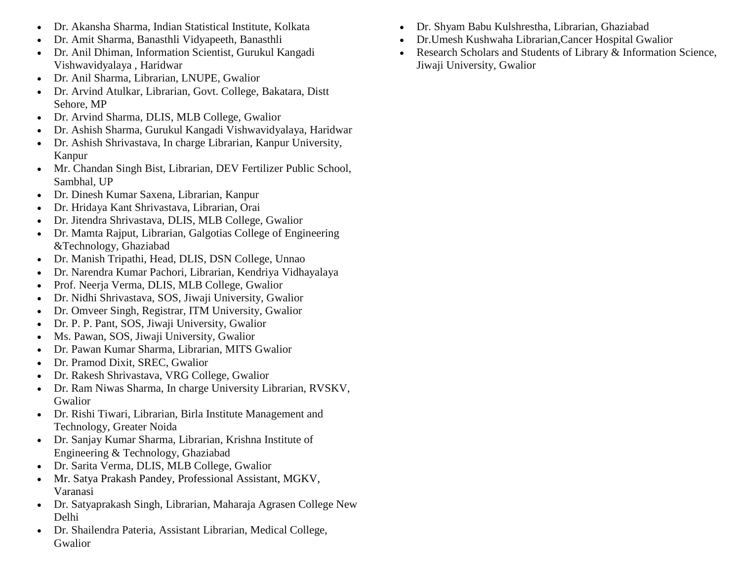- Dr. Akansha Sharma, Indian Statistical Institute, Kolkata
- Dr. Amit Sharma, Banasthli Vidyapeeth, Banasthli
- Dr. Anil Dhiman, Information Scientist, Gurukul Kangadi Vishwavidyalaya , Haridwar
- Dr. Anil Sharma, Librarian, LNUPE, Gwalior
- Dr. Arvind Atulkar, Librarian, Govt. College, Bakatara, Distt Sehore, MP
- Dr. Arvind Sharma, DLIS, MLB College, Gwalior
- Dr. Ashish Sharma, Gurukul Kangadi Vishwavidyalaya, Haridwar
- Dr. Ashish Shrivastava, In charge Librarian, Kanpur University, Kanpur
- Mr. Chandan Singh Bist, Librarian, DEV Fertilizer Public School, Sambhal, UP
- Dr. Dinesh Kumar Saxena, Librarian, Kanpur
- Dr. Hridaya Kant Shrivastava, Librarian, Orai
- Dr. Jitendra Shrivastava, DLIS, MLB College, Gwalior
- Dr. Mamta Rajput, Librarian, Galgotias College of Engineering &Technology, Ghaziabad
- Dr. Manish Tripathi, Head, DLIS, DSN College, Unnao
- Dr. Narendra Kumar Pachori, Librarian, Kendriya Vidhayalaya
- Prof. Neerja Verma, DLIS, MLB College, Gwalior
- Dr. Nidhi Shrivastava, SOS, Jiwaji University, Gwalior
- Dr. Omveer Singh, Registrar, ITM University, Gwalior
- Dr. P. P. Pant, SOS, Jiwaji University, Gwalior
- Ms. Pawan, SOS, Jiwaji University, Gwalior
- Dr. Pawan Kumar Sharma, Librarian, MITS Gwalior
- Dr. Pramod Dixit, SREC, Gwalior
- Dr. Rakesh Shrivastava, VRG College, Gwalior
- Dr. Ram Niwas Sharma, In charge University Librarian, RVSKV, Gwalior
- Dr. Rishi Tiwari, Librarian, Birla Institute Management and Technology, Greater Noida
- Dr. Sanjay Kumar Sharma, Librarian, Krishna Institute of Engineering & Technology, Ghaziabad
- Dr. Sarita Verma, DLIS, MLB College, Gwalior
- Mr. Satya Prakash Pandey, Professional Assistant, MGKV, Varanasi
- Dr. Satyaprakash Singh, Librarian, Maharaja Agrasen College New Delhi
- Dr. Shailendra Pateria, Assistant Librarian, Medical College, Gwalior
- Dr. Shyam Babu Kulshrestha, Librarian, Ghaziabad
- Dr.Umesh Kushwaha Librarian,Cancer Hospital Gwalior
- Research Scholars and Students of Library & Information Science, Jiwaji University, Gwalior